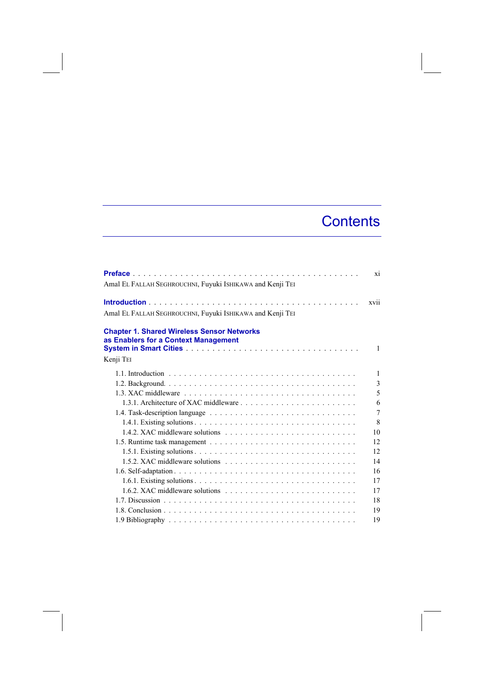## **Contents**

| Amal EL FALLAH SEGHROUCHNI, Fuyuki ISHIKAWA and Kenji TEI                                 | <b>xi</b>      |
|-------------------------------------------------------------------------------------------|----------------|
| Amal EL FALLAH SEGHROUCHNI, Fuyuki ISHIKAWA and Kenji TEI                                 | xvii           |
| <b>Chapter 1. Shared Wireless Sensor Networks</b><br>as Enablers for a Context Management |                |
|                                                                                           | $\mathbf{1}$   |
| Kenji TEI                                                                                 |                |
|                                                                                           | 1              |
|                                                                                           | 3              |
|                                                                                           | 5              |
|                                                                                           | 6              |
|                                                                                           | $\overline{7}$ |
|                                                                                           | 8              |
|                                                                                           | 10             |
|                                                                                           | 12             |
|                                                                                           | 12             |
|                                                                                           | 14             |
|                                                                                           | 16             |
|                                                                                           | 17             |
|                                                                                           | 17             |
|                                                                                           | 18             |
|                                                                                           | 19             |
|                                                                                           | 19             |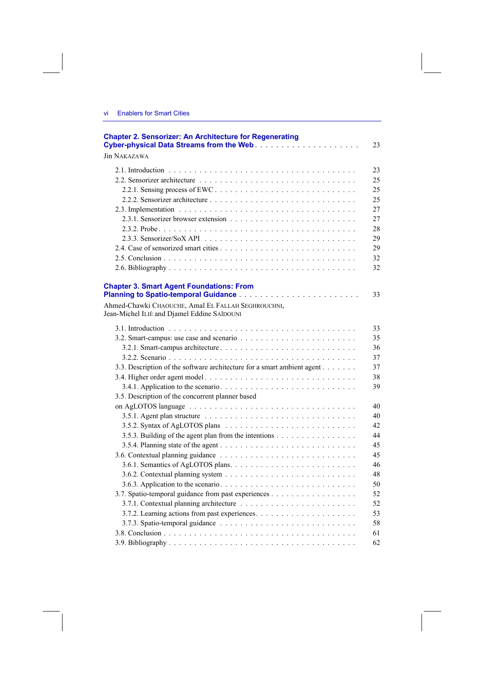| <b>Chapter 2. Sensorizer: An Architecture for Regenerating</b>                                    | 23 |
|---------------------------------------------------------------------------------------------------|----|
| <b>Jin NAKAZAWA</b>                                                                               |    |
|                                                                                                   | 23 |
|                                                                                                   | 25 |
|                                                                                                   | 25 |
|                                                                                                   | 25 |
|                                                                                                   | 27 |
|                                                                                                   | 27 |
|                                                                                                   | 28 |
|                                                                                                   | 29 |
|                                                                                                   | 29 |
|                                                                                                   | 32 |
|                                                                                                   | 32 |
| <b>Chapter 3. Smart Agent Foundations: From</b>                                                   | 33 |
| Ahmed-Chawki CHAOUCHE, Amal EL FALLAH SEGHROUCHNI,<br>Jean-Michel ILIÉ and Djamel Eddine SAÏDOUNI |    |
|                                                                                                   | 33 |
|                                                                                                   | 35 |
| 3.2.1. Smart-campus architecture                                                                  | 36 |
|                                                                                                   | 37 |
| 3.3. Description of the software architecture for a smart ambient agent                           | 37 |
| 3.4. Higher order agent model                                                                     | 38 |
|                                                                                                   | 39 |
| 3.5. Description of the concurrent planner based                                                  |    |
|                                                                                                   | 40 |
|                                                                                                   | 40 |
|                                                                                                   | 42 |
| 3.5.3. Building of the agent plan from the intentions                                             | 44 |
|                                                                                                   | 45 |
|                                                                                                   | 45 |
|                                                                                                   | 46 |
|                                                                                                   | 48 |
|                                                                                                   | 50 |
| 3.7. Spatio-temporal guidance from past experiences                                               | 52 |
|                                                                                                   | 52 |
|                                                                                                   | 53 |
|                                                                                                   | 58 |
|                                                                                                   | 61 |
|                                                                                                   | 62 |
|                                                                                                   |    |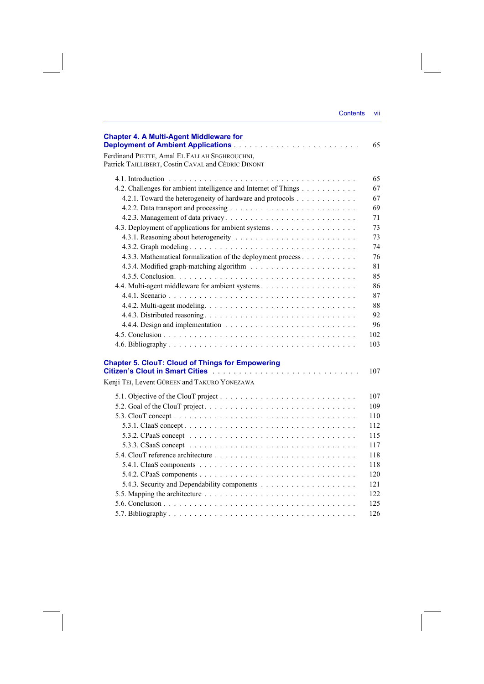| Contents | VII |
|----------|-----|
|          |     |

| <b>Chapter 4. A Multi-Agent Middleware for</b>                                                                                                     | 65   |
|----------------------------------------------------------------------------------------------------------------------------------------------------|------|
| Ferdinand PIETTE, Amal EL FALLAH SEGHROUCHNI,<br>Patrick TAILLIBERT, Costin CAVAL and CÉDRIC DINONT                                                |      |
|                                                                                                                                                    | 65   |
| 4.2. Challenges for ambient intelligence and Internet of Things                                                                                    | 67   |
| 4.2.1. Toward the heterogeneity of hardware and protocols                                                                                          | 67   |
|                                                                                                                                                    | 69   |
|                                                                                                                                                    | 71   |
| 4.3. Deployment of applications for ambient systems                                                                                                | 73   |
|                                                                                                                                                    | 73   |
|                                                                                                                                                    | 74   |
| 4.3.3. Mathematical formalization of the deployment process                                                                                        | 76   |
|                                                                                                                                                    | 81   |
|                                                                                                                                                    | 85   |
|                                                                                                                                                    | 86   |
|                                                                                                                                                    | 87   |
|                                                                                                                                                    | 88   |
|                                                                                                                                                    | 92   |
|                                                                                                                                                    | 96   |
|                                                                                                                                                    | 102  |
|                                                                                                                                                    | 103  |
| <b>Chapter 5. ClouT: Cloud of Things for Empowering</b><br>Citizen's Clout in Smart Cities <b>Communist Claude Citizen's Clout in Smart Cities</b> | 107  |
| Kenji TEI, Levent GÜREEN and TAKURO YONEZAWA                                                                                                       |      |
|                                                                                                                                                    | 107  |
|                                                                                                                                                    | 109  |
|                                                                                                                                                    | 110  |
|                                                                                                                                                    | 112  |
|                                                                                                                                                    | 115  |
|                                                                                                                                                    | 117  |
|                                                                                                                                                    | 118  |
|                                                                                                                                                    | 118  |
|                                                                                                                                                    | 120  |
|                                                                                                                                                    | 121  |
|                                                                                                                                                    | 122. |
|                                                                                                                                                    | 125  |
|                                                                                                                                                    | 126  |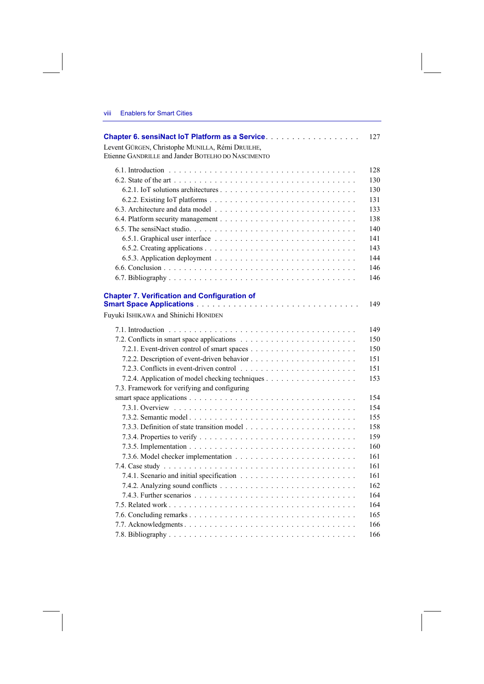| Chapter 6. sensiNact IoT Platform as a Service.     | 127 |
|-----------------------------------------------------|-----|
| Levent GÜRGEN, Christophe MUNILLA, Rémi DRUILHE,    |     |
| Etienne GANDRILLE and Jander BOTELHO DO NASCIMENTO  |     |
|                                                     | 128 |
|                                                     | 130 |
|                                                     | 130 |
|                                                     | 131 |
|                                                     | 133 |
|                                                     | 138 |
|                                                     | 140 |
|                                                     | 141 |
|                                                     | 143 |
|                                                     | 144 |
|                                                     | 146 |
|                                                     | 146 |
|                                                     |     |
| <b>Chapter 7. Verification and Configuration of</b> |     |
|                                                     | 149 |
| Fuyuki ISHIKAWA and Shinichi HONIDEN                |     |
|                                                     | 149 |
|                                                     | 150 |
|                                                     | 150 |
|                                                     | 151 |
|                                                     | 151 |
|                                                     | 153 |
| 7.3. Framework for verifying and configuring        |     |
|                                                     | 154 |
|                                                     | 154 |
|                                                     | 155 |
|                                                     | 158 |
|                                                     | 159 |
|                                                     | 160 |
|                                                     | 161 |
|                                                     | 161 |
|                                                     | 161 |
|                                                     | 162 |
|                                                     | 164 |
|                                                     | 164 |
|                                                     | 165 |
|                                                     | 166 |
|                                                     | 166 |